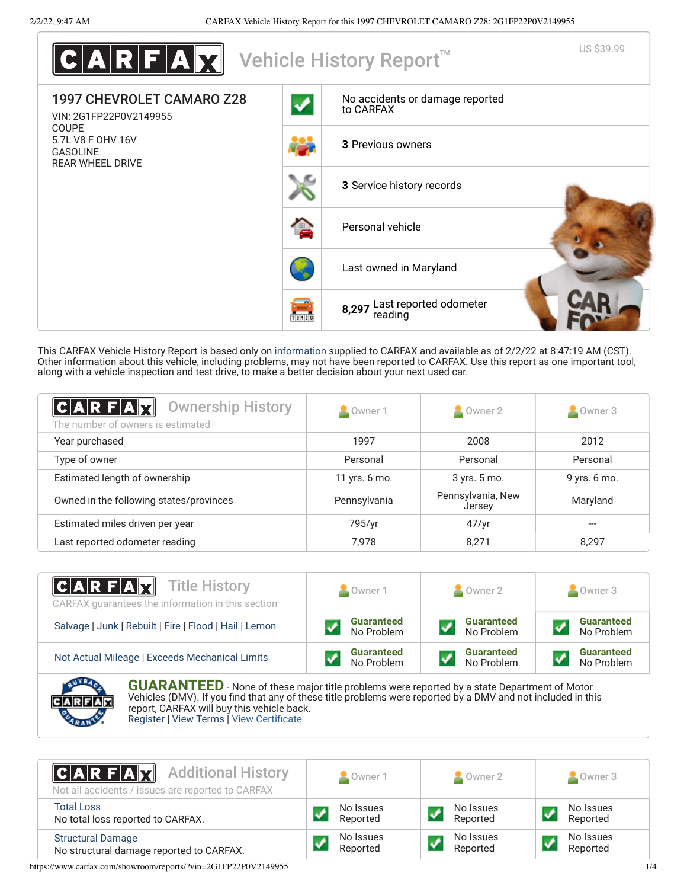

This CARFAX Vehicle History Report is based only on [information](http://www.carfax.com/company/vhr-data-sources) supplied to CARFAX and available as of 2/2/22 at 8:47:19 AM (CST). Other information about this vehicle, including problems, may not have been reported to CARFAX. Use this report as one important tool, along with a vehicle inspection and test drive, to make a better decision about your next used car.

<span id="page-0-1"></span>

| C A R F A X <br><b>Ownership History</b><br>The number of owners is estimated | Owner 1       | $\blacksquare$ Owner 2      | $\blacksquare$ Owner 3 |
|-------------------------------------------------------------------------------|---------------|-----------------------------|------------------------|
| Year purchased                                                                | 1997          | 2008                        | 2012                   |
| Type of owner                                                                 | Personal      | Personal                    | Personal               |
| Estimated length of ownership                                                 | 11 yrs. 6 mo. | 3 yrs. 5 mo.                | 9 yrs. 6 mo.           |
| Owned in the following states/provinces                                       | Pennsylvania  | Pennsylvania, New<br>Jersey | Maryland               |
| Estimated miles driven per year                                               | 795/yr        | 47/yr                       | $---$                  |
| Last reported odometer reading                                                | 7.978         | 8.271                       | 8.297                  |

| $ C A R F A \nabla $<br><b>Title History</b><br>CARFAX guarantees the information in this section | Owner 1           | $\sim$ Owner 2    | Owner 3           |
|---------------------------------------------------------------------------------------------------|-------------------|-------------------|-------------------|
| Salvage   Junk   Rebuilt   Fire   Flood   Hail   Lemon                                            | <b>Guaranteed</b> | <b>Guaranteed</b> | <b>Guaranteed</b> |
|                                                                                                   | No Problem        | No Problem        | No Problem        |
| Not Actual Mileage   Exceeds Mechanical Limits                                                    | <b>Guaranteed</b> | <b>Guaranteed</b> | <b>Guaranteed</b> |
|                                                                                                   | No Problem        | No Problem        | No Problem        |
| <b>CUADANTEED</b>                                                                                 |                   |                   |                   |



**GUARANTEED** - None of these major title problems were reported by a state Department of Motor Vehicles (DMV). If you find that any of these title problems were reported by a DMV and not included in this report, CARFAX will buy this vehicle back. [Register](https://www.carfax.com/Service/bbg) | [View Terms](https://www.carfax.com/company/carfax-buyback-guarantee-terms-and-conditions) | [View Certificate](https://www.carfax.com/showroom/reports/?vin=2G1FP22P0V2149955)

<span id="page-0-0"></span>

| <b>CARFAX</b> Additional History<br>Not all accidents / issues are reported to CARFAX |  | Owner 1               | Owner 2               | Owner 3               |
|---------------------------------------------------------------------------------------|--|-----------------------|-----------------------|-----------------------|
| <b>Total Loss</b><br>No total loss reported to CARFAX.                                |  | No Issues<br>Reported | No Issues<br>Reported | No Issues<br>Reported |
| <b>Structural Damage</b><br>No structural damage reported to CARFAX.                  |  | No Issues<br>Reported | No Issues<br>Reported | No Issues<br>Reported |

https://www.carfax.com/showroom/reports/?vin=2G1FP22P0V2149955 1/4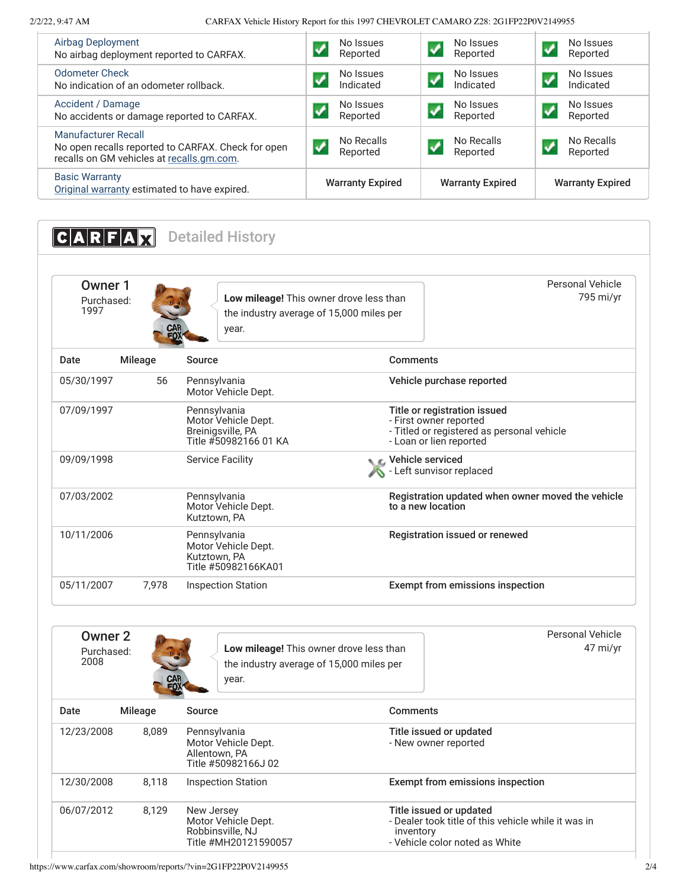2/2/22, 9:47 AM CARFAX Vehicle History Report for this 1997 CHEVROLET CAMARO Z28: 2G1FP22P0V2149955

| <b>Airbag Deployment</b><br>No Issues<br>No Issues<br>No Issues<br>$\boldsymbol{v}$<br>$\boldsymbol{\mathcal{N}}$<br>Reported<br>Reported<br>Reported<br>No airbag deployment reported to CARFAX.<br><b>Odometer Check</b><br>No Issues<br>No Issues<br>No Issues<br>$\boldsymbol{J}$<br>$\boldsymbol{v}$<br>Indicated<br>Indicated<br>Indicated<br>No indication of an odometer rollback.<br>Accident / Damage<br>No Issues<br>No Issues<br>No Issues<br>$\boldsymbol{\mathcal{N}}$<br>$\boldsymbol{\mathcal{J}}$<br>Reported<br>Reported<br>Reported<br>No accidents or damage reported to CARFAX. |  |  |
|------------------------------------------------------------------------------------------------------------------------------------------------------------------------------------------------------------------------------------------------------------------------------------------------------------------------------------------------------------------------------------------------------------------------------------------------------------------------------------------------------------------------------------------------------------------------------------------------------|--|--|
|                                                                                                                                                                                                                                                                                                                                                                                                                                                                                                                                                                                                      |  |  |
|                                                                                                                                                                                                                                                                                                                                                                                                                                                                                                                                                                                                      |  |  |
|                                                                                                                                                                                                                                                                                                                                                                                                                                                                                                                                                                                                      |  |  |
| <b>Manufacturer Recall</b><br>No Recalls<br>No Recalls<br>No Recalls<br>No open recalls reported to CARFAX. Check for open<br>Reported<br>Reported<br>Reported<br>recalls on GM vehicles at recalls.gm.com.                                                                                                                                                                                                                                                                                                                                                                                          |  |  |
| <b>Basic Warranty</b><br><b>Warranty Expired</b><br><b>Warranty Expired</b><br><b>Warranty Expired</b><br>Original warranty estimated to have expired.                                                                                                                                                                                                                                                                                                                                                                                                                                               |  |  |

<span id="page-1-0"></span>**CARFAX** Detailed History

| Owner 1<br>Purchased:<br>1997 |         | Low mileage! This owner drove less than<br>the industry average of 15,000 miles per<br><b>CAR</b><br>FOX<br>year. | Personal Vehicle<br>795 mi/yr                                                                                                   |
|-------------------------------|---------|-------------------------------------------------------------------------------------------------------------------|---------------------------------------------------------------------------------------------------------------------------------|
| Date                          | Mileage | Source                                                                                                            | Comments                                                                                                                        |
| 05/30/1997                    | 56      | Pennsylvania<br>Motor Vehicle Dept.                                                                               | Vehicle purchase reported                                                                                                       |
| 07/09/1997                    |         | Pennsylvania<br>Motor Vehicle Dept.<br>Breinigsville, PA<br>Title #50982166 01 KA                                 | Title or registration issued<br>- First owner reported<br>- Titled or registered as personal vehicle<br>- Loan or lien reported |
| 09/09/1998                    |         | <b>Service Facility</b>                                                                                           | Vehicle serviced<br>Left sunvisor replaced                                                                                      |
| 07/03/2002                    |         | Pennsylvania<br>Motor Vehicle Dept.<br>Kutztown, PA                                                               | Registration updated when owner moved the vehicle<br>to a new location                                                          |
| 10/11/2006                    |         | Pennsylvania<br>Motor Vehicle Dept.<br>Kutztown, PA<br>Title #50982166KA01                                        | Registration issued or renewed                                                                                                  |
| 05/11/2007                    | 7.978   | <b>Inspection Station</b>                                                                                         | Exempt from emissions inspection                                                                                                |

| Owner 2<br>Purchased:<br>2008 | CAR     | Low mileage! This owner drove less than<br>the industry average of 15,000 miles per<br>year. |                                                                        | Personal Vehicle<br>47 mi/yr                        |
|-------------------------------|---------|----------------------------------------------------------------------------------------------|------------------------------------------------------------------------|-----------------------------------------------------|
| Date                          | Mileage | Source                                                                                       | <b>Comments</b>                                                        |                                                     |
| 12/23/2008                    | 8.089   | Pennsylvania<br>Motor Vehicle Dept.<br>Allentown, PA<br>Title #50982166J 02                  | Title issued or updated<br>- New owner reported                        |                                                     |
| 12/30/2008                    | 8.118   | <b>Inspection Station</b>                                                                    | <b>Exempt from emissions inspection</b>                                |                                                     |
| 06/07/2012                    | 8,129   | New Jersey<br>Motor Vehicle Dept.<br>Robbinsville, NJ<br>Title #MH20121590057                | Title issued or updated<br>inventory<br>- Vehicle color noted as White | - Dealer took title of this vehicle while it was in |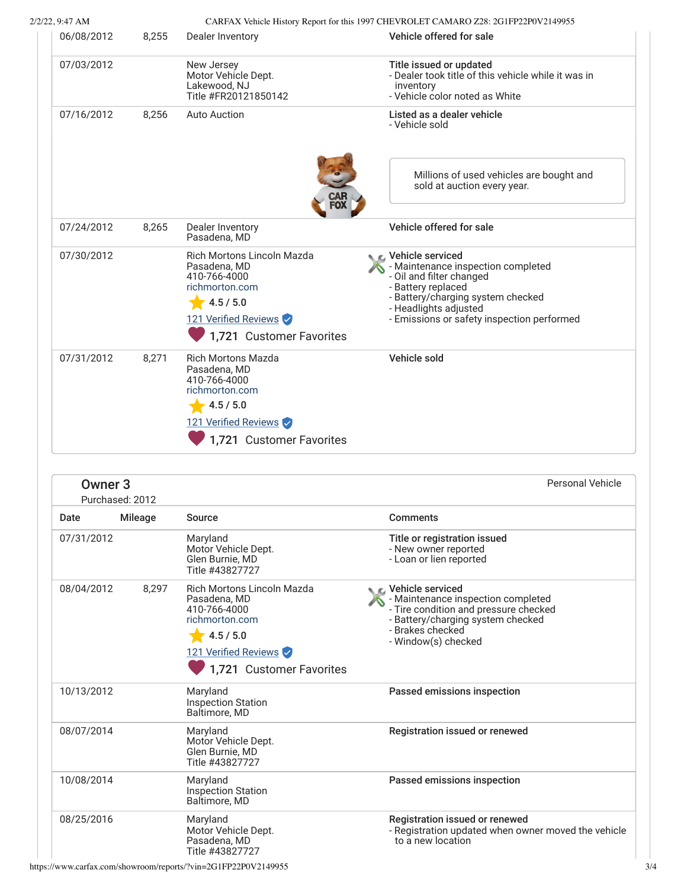| 2/2/22, 9:47 AM |  |
|-----------------|--|
|                 |  |

# CARFAX Vehicle History Report for this 1997 CHEVROLET CAMARO Z28: 2G1FP22P0V2149955

| 8,255 | Dealer Inventory                                                                                                                              | Vehicle offered for sale                                                                                                                                                                                               |
|-------|-----------------------------------------------------------------------------------------------------------------------------------------------|------------------------------------------------------------------------------------------------------------------------------------------------------------------------------------------------------------------------|
|       | New Jersey<br>Motor Vehicle Dept.<br>Lakewood, NJ<br>Title #FR20121850142                                                                     | Title issued or updated<br>- Dealer took title of this vehicle while it was in<br>inventory<br>- Vehicle color noted as White                                                                                          |
| 8,256 | <b>Auto Auction</b>                                                                                                                           | Listed as a dealer vehicle<br>- Vehicle sold                                                                                                                                                                           |
|       |                                                                                                                                               | Millions of used vehicles are bought and<br>sold at auction every year.                                                                                                                                                |
| 8,265 | Dealer Inventory<br>Pasadena, MD                                                                                                              | Vehicle offered for sale                                                                                                                                                                                               |
|       | Rich Mortons Lincoln Mazda<br>Pasadena, MD<br>410-766-4000<br>richmorton.com<br>4.5 / 5.0<br>121 Verified Reviews<br>1,721 Customer Favorites | C Vehicle serviced<br>- Maintenance inspection completed<br>- Oil and filter changed<br>- Battery replaced<br>- Battery/charging system checked<br>- Headlights adjusted<br>- Emissions or safety inspection performed |
| 8,271 | <b>Rich Mortons Mazda</b><br>Pasadena, MD<br>410-766-4000<br>richmorton.com<br>4.5 / 5.0<br>121 Verified Reviews                              | Vehicle sold                                                                                                                                                                                                           |
|       |                                                                                                                                               |                                                                                                                                                                                                                        |

| Owner <sub>3</sub> | Purchased: 2012 |                                                                                                                                                      | Personal Vehicle                                                                                                                                                                  |
|--------------------|-----------------|------------------------------------------------------------------------------------------------------------------------------------------------------|-----------------------------------------------------------------------------------------------------------------------------------------------------------------------------------|
| Date               | <b>Mileage</b>  | Source                                                                                                                                               | <b>Comments</b>                                                                                                                                                                   |
| 07/31/2012         |                 | Maryland<br>Motor Vehicle Dept.<br>Glen Burnie, MD<br>Title #43827727                                                                                | Title or registration issued<br>- New owner reported<br>- Loan or lien reported                                                                                                   |
| 08/04/2012         | 8,297           | <b>Rich Mortons Lincoln Mazda</b><br>Pasadena, MD<br>410-766-4000<br>richmorton.com<br>4.5 / 5.0<br>121 Verified Reviews<br>1,721 Customer Favorites | C Vehicle serviced<br>- Maintenance inspection completed<br>- Tire condition and pressure checked<br>- Battery/charging system checked<br>- Brakes checked<br>- Window(s) checked |
| 10/13/2012         |                 | Maryland<br><b>Inspection Station</b><br>Baltimore, MD                                                                                               | Passed emissions inspection                                                                                                                                                       |
| 08/07/2014         |                 | Maryland<br>Motor Vehicle Dept.<br>Glen Burnie, MD<br>Title #43827727                                                                                | Registration issued or renewed                                                                                                                                                    |
| 10/08/2014         |                 | Maryland<br><b>Inspection Station</b><br>Baltimore, MD                                                                                               | Passed emissions inspection                                                                                                                                                       |
| 08/25/2016         |                 | Maryland<br>Motor Vehicle Dept.<br>Pasadena, MD<br>Title #43827727                                                                                   | Registration issued or renewed<br>- Registration updated when owner moved the vehicle<br>to a new location                                                                        |